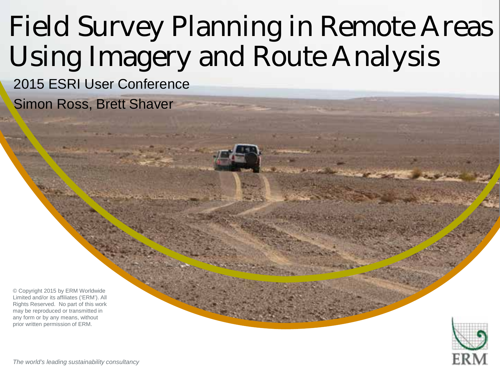# Field Survey Planning in Remote Areas Using Imagery and Route Analysis

"Insert "Picture" then choose "Picture" – select your picture "Picture" – select your picture of the select your picture.

Right clients would be send to back your picture and the back of the back of the back of the back of the back of the back of the back of the back of the back of the back of the back of the back of the back of the back of t

2015 ESRI User Conference

Simon Ross, Brett Shaver

© Copyright 2015 by ERM Worldwide Limited and/or its affiliates ('ERM'). All Rights Reserved. No part of this work may be reproduced or transmitted in any form or by any means, without prior written permission of ERM.

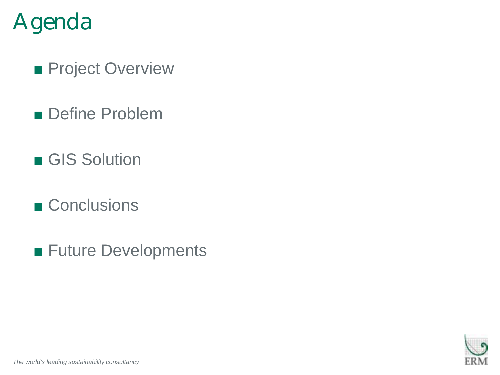## Agenda

■ Project Overview

- Define Problem
- GIS Solution
- Conclusions
- Future Developments

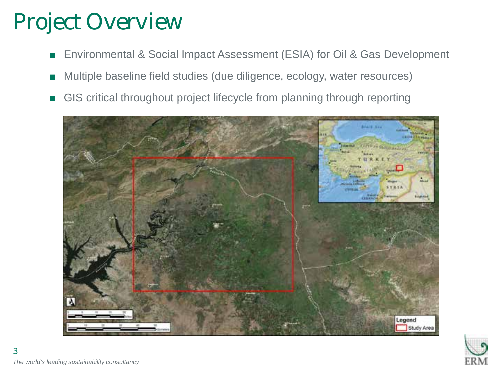### Project Overview

- Environmental & Social Impact Assessment (ESIA) for Oil & Gas Development
- Multiple baseline field studies (due diligence, ecology, water resources)
- GIS critical throughout project lifecycle from planning through reporting



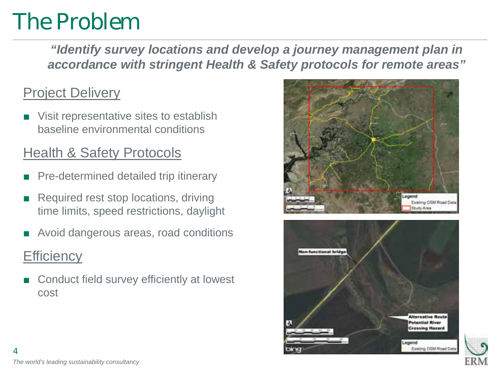### The Problem

*"Identify survey locations and develop a journey management plan in accordance with stringent Health & Safety protocols for remote areas"*

#### **Project Delivery**

Visit representative sites to establish baseline environmental conditions

#### Health & Safety Protocols

- Pre-determined detailed trip itinerary
- Required rest stop locations, driving time limits, speed restrictions, daylight
- Avoid dangerous areas, road conditions

#### **Efficiency**

Conduct field survey efficiently at lowest cost





*The world's leading sustainability consultancy* 4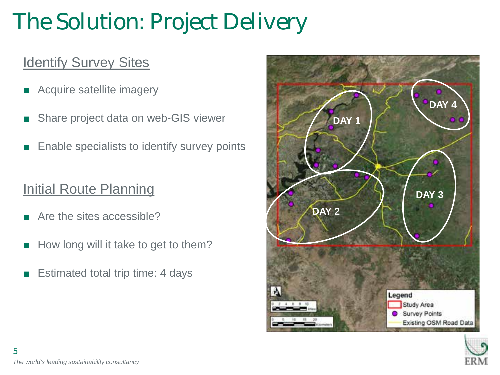# The Solution: Project Delivery

### **Identify Survey Sites**

- Acquire satellite imagery
- Share project data on web-GIS viewer
- Enable specialists to identify survey points

#### Initial Route Planning

- Are the sites accessible?
- How long will it take to get to them?
- Estimated total trip time: 4 days



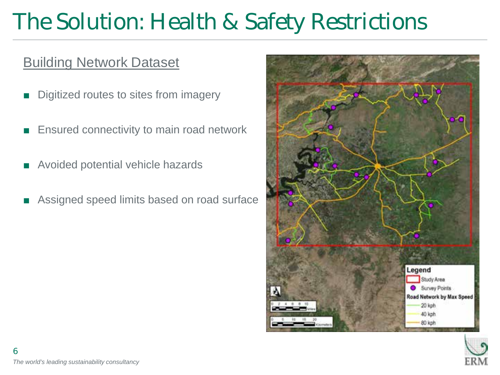# The Solution: Health & Safety Restrictions

#### Building Network Dataset

- Digitized routes to sites from imagery
- Ensured connectivity to main road network
- Avoided potential vehicle hazards
- Assigned speed limits based on road surface



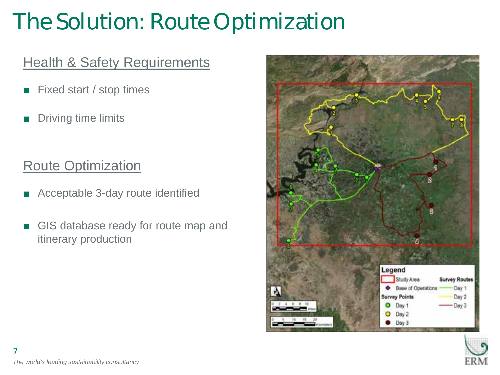# The Solution: Route Optimization

#### **Health & Safety Requirements**

- Fixed start / stop times
- Driving time limits

#### Route Optimization

- Acceptable 3-day route identified
- GIS database ready for route map and itinerary production



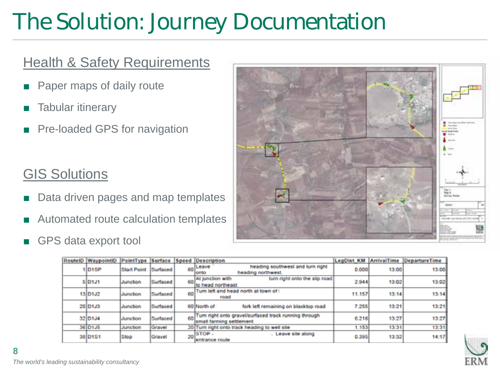# The Solution: Journey Documentation

#### **Health & Safety Requirements**

- Paper maps of daily route
- Tabular itinerary
- Pre-loaded GPS for navigation

#### **GIS Solutions**

- Data driven pages and map templates
- Automated route calculation templates
- GPS data export tool



| RoutelD WaypointID PointType Surface Speed Description |             |          |    |                                                                                      |        |       | LegDist_KM ArrivalTime DepartureTime |
|--------------------------------------------------------|-------------|----------|----|--------------------------------------------------------------------------------------|--------|-------|--------------------------------------|
| 1D <sub>1</sub> SP                                     | Start Point | Surfaced |    | heading southwest and turn right<br>60 Leave<br>heading northwest.<br>onto           | 0.000  | 13:00 | 13:00                                |
| SID <sub>1J1</sub>                                     | Junction    | Surfaced | 60 | At junction with<br>turn right onto the slip road<br>to head northeast               | 2.944  | 13:02 | 13:02                                |
| 13 D1J2                                                | Junction    | Surfaced | 60 | Turn left and head north at town of I<br>road                                        | 11.157 | 13:14 | 13:14                                |
| 20 D <sub>1</sub> J3                                   | Junction    | Surfaced |    | 60 North of<br>fork left remaining on blacktop road                                  | 7.255  | 13:21 | 13:21                                |
| 32 D134                                                | Junction    | Surfaced |    | 60 Turn right onto gravel/surfaced track running through<br>small farming settlement | 6.216  | 13:27 | 13:27                                |
| 36 D1J5                                                | Junction    | Gravel   |    | 20 Turn right onto track heading to well site                                        | 1.153  | 13.31 | 13:31                                |
| 38 D <sub>1</sub> S1                                   | Stop        | Gravel   |    | $20$ STOP -<br>Leave site along<br>lentrance route                                   | 0.395  | 13:32 | 14:17                                |

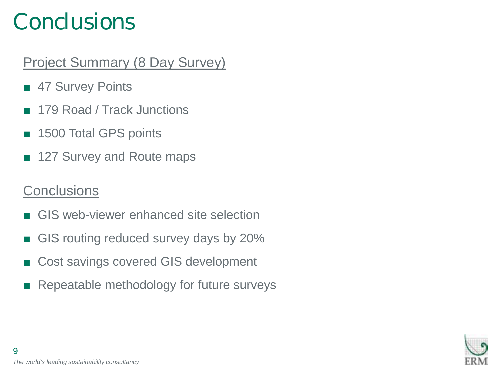### **Conclusions**

### Project Summary (8 Day Survey)

- 47 Survey Points
- 179 Road / Track Junctions
- 1500 Total GPS points
- 127 Survey and Route maps

### **Conclusions**

- GIS web-viewer enhanced site selection
- GIS routing reduced survey days by 20%
- Cost savings covered GIS development
- Repeatable methodology for future surveys